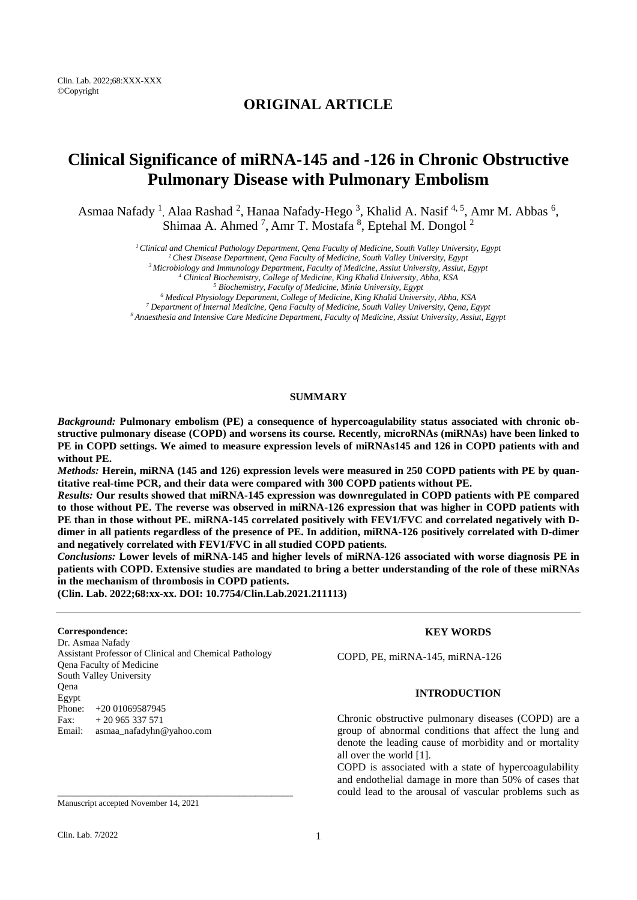Clin. Lab. 2022;68:XXX-XXX ©Copyright

## **ORIGINAL ARTICLE**

# **Clinical Significance of miRNA-145 and -126 in Chronic Obstructive Pulmonary Disease with Pulmonary Embolism**

Asmaa Nafady<sup>1</sup>, Alaa Rashad<sup>2</sup>, Hanaa Nafady-Hego<sup>3</sup>, Khalid A. Nasif<sup>4,5</sup>, Amr M. Abbas<sup>6</sup>, Shimaa A. Ahmed<sup>7</sup>, Amr T. Mostafa <sup>8</sup>, Eptehal M. Dongol<sup>2</sup>

*<sup>1</sup>Clinical and Chemical Pathology Department, Qena Faculty of Medicine, South Valley University, Egypt*

*<sup>2</sup>Chest Disease Department, Qena Faculty of Medicine, South Valley University, Egypt*

*<sup>3</sup>Microbiology and Immunology Department, Faculty of Medicine, Assiut University, Assiut, Egypt*

*<sup>4</sup> Clinical Biochemistry, College of Medicine, King Khalid University, Abha, KSA*

*<sup>5</sup> Biochemistry, Faculty of Medicine, Minia University, Egypt*

*<sup>6</sup> Medical Physiology Department, College of Medicine, King Khalid University, Abha, KSA*

*<sup>7</sup> Department of Internal Medicine, Qena Faculty of Medicine, South Valley University, Qena, Egypt*

*<sup>8</sup>Anaesthesia and Intensive Care Medicine Department, Faculty of Medicine, Assiut University, Assiut, Egypt*

## **SUMMARY**

*Background:* **Pulmonary embolism (PE) a consequence of hypercoagulability status associated with chronic obstructive pulmonary disease (COPD) and worsens its course. Recently, microRNAs (miRNAs) have been linked to** PE in COPD settings. We aimed to measure expression levels of miRNAs145 and 126 in COPD patients with and **without PE.**

Methods: Herein, miRNA (145 and 126) expression levels were measured in 250 COPD patients with PE by quan**titative real-time PCR, and their data were compared with 300 COPD patients without PE.**

*Results:* **Our results showed that miRNA-145 expression was downregulated in COPD patients with PE compared** to those without PE. The reverse was observed in miRNA-126 expression that was higher in COPD patients with **PE than in those without PE. miRNA-145 correlated positively with FEV1/FVC and correlated negatively with D**dimer in all patients regardless of the presence of PE. In addition, miRNA-126 positively correlated with D-dimer **and negatively correlated with FEV1/FVC in all studied COPD patients.** 

*Conclusions:* **Lower levels of miRNA-145 and higher levels of miRNA-126 associated with worse diagnosis PE in** patients with COPD. Extensive studies are mandated to bring a better understanding of the role of these miRNAs **in the mechanism of thrombosis in COPD patients.**

**(Clin. Lab. 2022;68:xx-xx. DOI: 10.7754/Clin.Lab.2021.211113)**

#### **Correspondence:**

Dr. Asmaa Nafady Assistant Professor of Clinical and Chemical Pathology Qena Faculty of Medicine South Valley University Qena Egypt Phone: +20 01069587945 Fax:  $+20965337571$ Email: asmaa\_nafadyhn@yahoo.com

\_\_\_\_\_\_\_\_\_\_\_\_\_\_\_\_\_\_\_\_\_\_\_\_\_\_\_\_\_\_\_\_\_\_\_\_\_\_\_\_\_\_\_\_

#### Manuscript accepted November 14, 2021

#### **KEY WORDS**

COPD, PE, miRNA-145, miRNA-126

## **INTRODUCTION**

Chronic obstructive pulmonary diseases (COPD) are a group of abnormal conditions that affect the lung and denote the leading cause of morbidity and or mortality all over the world [1].

COPD is associated with a state of hypercoagulability and endothelial damage in more than 50% of cases that could lead to the arousal of vascular problems such as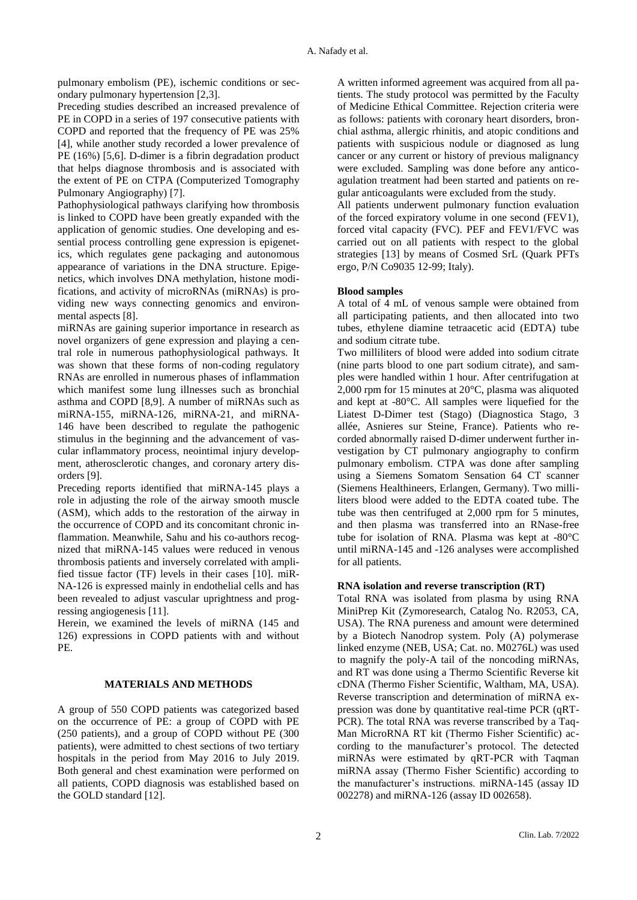pulmonary embolism (PE), ischemic conditions or secondary pulmonary hypertension [\[2,](#page-6-0)[3\]](#page-6-1).

Preceding studies described an increased prevalence of PE in COPD in a series of 197 consecutive patients with COPD and reported that the frequency of PE was 25% [\[4\]](#page-6-2), while another study recorded a lower prevalence of PE (16%) [\[5,](#page-6-3)[6\]](#page-6-4). D-dimer is a fibrin degradation product that helps diagnose thrombosis and is associated with the extent of PE on CTPA (Computerized Tomography Pulmonary Angiography) [\[7\]](#page-6-5).

Pathophysiological pathways clarifying how thrombosis is linked to COPD have been greatly expanded with the application of genomic studies. One developing and essential process controlling gene expression is epigenetics, which regulates gene packaging and autonomous appearance of variations in the DNA structure. Epigenetics, which involves DNA methylation, histone modifications, and activity of microRNAs (miRNAs) is providing new ways connecting genomics and environmental aspects [\[8\]](#page-6-6).

miRNAs are gaining superior importance in research as novel organizers of gene expression and playing a central role in numerous pathophysiological pathways. It was shown that these forms of non-coding regulatory RNAs are enrolled in numerous phases of inflammation which manifest some lung illnesses such as bronchial asthma and COPD [\[8,](#page-6-6)[9\]](#page-6-7). A number of miRNAs such as miRNA-155, miRNA-126, miRNA-21, and miRNA-146 have been described to regulate the pathogenic stimulus in the beginning and the advancement of vascular inflammatory process, neointimal injury development, atherosclerotic changes, and coronary artery disorders [\[9\]](#page-6-7).

Preceding reports identified that miRNA-145 plays a role in adjusting the role of the airway smooth muscle (ASM), which adds to the restoration of the airway in the occurrence of COPD and its concomitant chronic inflammation. Meanwhile, Sahu and his co-authors recognized that miRNA-145 values were reduced in venous thrombosis patients and inversely correlated with amplified tissue factor (TF) levels in their cases [\[10\]](#page-6-8). miR-NA-126 is expressed mainly in endothelial cells and has been revealed to adjust vascular uprightness and progressing angiogenesis [\[11\]](#page-6-9).

Herein, we examined the levels of miRNA (145 and 126) expressions in COPD patients with and without PE.

## **MATERIALS AND METHODS**

A group of 550 COPD patients was categorized based on the occurrence of PE: a group of COPD with PE (250 patients), and a group of COPD without PE (300 patients), were admitted to chest sections of two tertiary hospitals in the period from May 2016 to July 2019. Both general and chest examination were performed on all patients, COPD diagnosis was established based on the GOLD standard [\[12\]](#page-6-10).

A written informed agreement was acquired from all patients. The study protocol was permitted by the Faculty of Medicine Ethical Committee. Rejection criteria were as follows: patients with coronary heart disorders, bronchial asthma, allergic rhinitis, and atopic conditions and patients with suspicious nodule or diagnosed as lung cancer or any current or history of previous malignancy were excluded. Sampling was done before any anticoagulation treatment had been started and patients on regular anticoagulants were excluded from the study.

All patients underwent pulmonary function evaluation of the forced expiratory volume in one second (FEV1), forced vital capacity (FVC). PEF and FEV1/FVC was carried out on all patients with respect to the global strategies [\[13\]](#page-6-11) by means of Cosmed SrL (Quark PFTs ergo, P/N Co9035 12-99; Italy).

## **Blood samples**

A total of 4 mL of venous sample were obtained from all participating patients, and then allocated into two tubes, ethylene diamine tetraacetic acid (EDTA) tube and sodium citrate tube.

Two milliliters of blood were added into sodium citrate (nine parts blood to one part sodium citrate), and samples were handled within 1 hour. After centrifugation at 2,000 rpm for 15 minutes at 20°C, plasma was aliquoted and kept at -80°C. All samples were liquefied for the Liatest D-Dimer test (Stago) (Diagnostica Stago, 3 allée, Asnieres sur Steine, France). Patients who recorded abnormally raised D-dimer underwent further investigation by CT pulmonary angiography to confirm pulmonary embolism. CTPA was done after sampling using a Siemens Somatom Sensation 64 CT scanner (Siemens Healthineers, Erlangen, Germany). Two milliliters blood were added to the EDTA coated tube. The tube was then centrifuged at 2,000 rpm for 5 minutes, and then plasma was transferred into an RNase-free tube for isolation of RNA. Plasma was kept at -80°C until miRNA-145 and -126 analyses were accomplished for all patients.

### **RNA isolation and reverse transcription (RT)**

Total RNA was isolated from plasma by using RNA MiniPrep Kit (Zymoresearch, Catalog No. R2053, CA, USA). The RNA pureness and amount were determined by a Biotech Nanodrop system. Poly (A) polymerase linked enzyme (NEB, USA; Cat. no. M0276L) was used to magnify the poly-A tail of the noncoding miRNAs, and RT was done using a Thermo Scientific Reverse kit cDNA (Thermo Fisher Scientific, Waltham, MA, USA). Reverse transcription and determination of miRNA expression was done by quantitative real-time PCR (qRT-PCR). The total RNA was reverse transcribed by a Taq-Man MicroRNA RT kit (Thermo Fisher Scientific) according to the manufacturer's protocol. The detected miRNAs were estimated by qRT-PCR with Taqman miRNA assay (Thermo Fisher Scientific) according to the manufacturer's instructions. miRNA-145 (assay ID 002278) and miRNA-126 (assay ID 002658).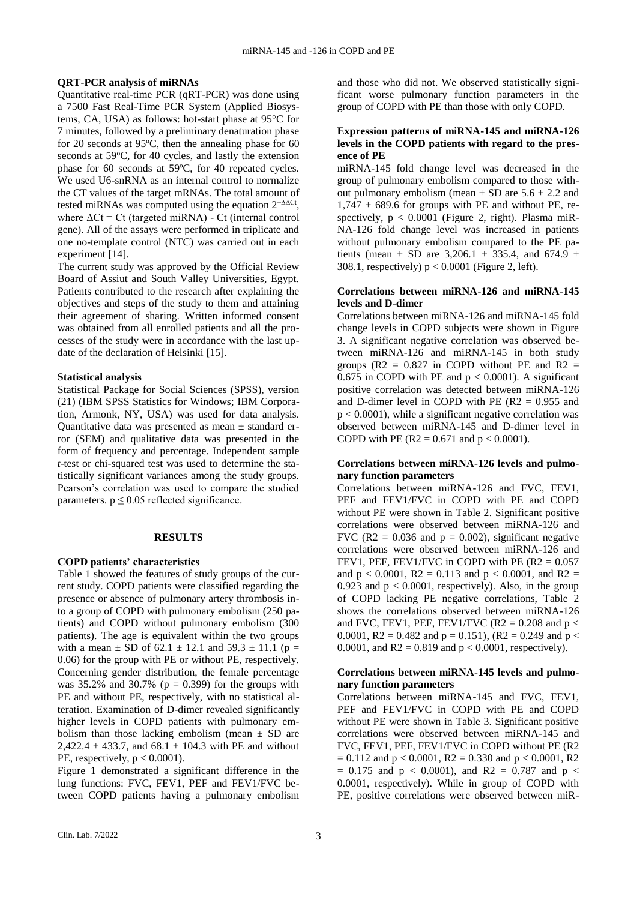#### **QRT-PCR analysis of miRNAs**

Quantitative real-time PCR (qRT-PCR) was done using a 7500 Fast Real-Time PCR System (Applied Biosystems, CA, USA) as follows: hot-start phase at 95°C for 7 minutes, followed by a preliminary denaturation phase for 20 seconds at 95ºC, then the annealing phase for 60 seconds at  $59^{\circ}$ C, for 40 cycles, and lastly the extension phase for 60 seconds at 59ºC, for 40 repeated cycles. We used U6-snRNA as an internal control to normalize the CT values of the target mRNAs. The total amount of tested miRNAs was computed using the equation  $2^{-\Delta\Delta Ct}$ , where  $\Delta$ Ct = Ct (targeted miRNA) - Ct (internal control gene). All of the assays were performed in triplicate and one no-template control (NTC) was carried out in each experiment [\[14\]](#page-7-0).

The current study was approved by the Official Review Board of Assiut and South Valley Universities, Egypt. Patients contributed to the research after explaining the objectives and steps of the study to them and attaining their agreement of sharing. Written informed consent was obtained from all enrolled patients and all the processes of the study were in accordance with the last update of the declaration of Helsinki [\[15\]](#page-7-1).

#### **Statistical analysis**

Statistical Package for Social Sciences (SPSS), version (21) (IBM SPSS Statistics for Windows; IBM Corporation, Armonk, NY, USA) was used for data analysis. Quantitative data was presented as mean ± standard error (SEM) and qualitative data was presented in the form of frequency and percentage. Independent sample *t*-test or chi-squared test was used to determine the statistically significant variances among the study groups. Pearson's correlation was used to compare the studied parameters.  $p \le 0.05$  reflected significance.

#### **RESULTS**

#### **COPD patients' characteristics**

Table 1 showed the features of study groups of the current study. COPD patients were classified regarding the presence or absence of pulmonary artery thrombosis into a group of COPD with pulmonary embolism (250 patients) and COPD without pulmonary embolism (300 patients). The age is equivalent within the two groups with a mean  $\pm$  SD of 62.1  $\pm$  12.1 and 59.3  $\pm$  11.1 (p = 0.06) for the group with PE or without PE, respectively. Concerning gender distribution, the female percentage was  $35.2\%$  and  $30.7\%$  (p = 0.399) for the groups with PE and without PE, respectively, with no statistical alteration. Examination of D-dimer revealed significantly higher levels in COPD patients with pulmonary embolism than those lacking embolism (mean  $\pm$  SD are 2.422.4  $\pm$  433.7, and 68.1  $\pm$  104.3 with PE and without PE, respectively,  $p < 0.0001$ ).

Figure 1 demonstrated a significant difference in the lung functions: FVC, FEV1, PEF and FEV1/FVC between COPD patients having a pulmonary embolism and those who did not. We observed statistically significant worse pulmonary function parameters in the group of COPD with PE than those with only COPD.

## **Expression patterns of miRNA-145 and miRNA-126 levels in the COPD patients with regard to the presence of PE**

miRNA-145 fold change level was decreased in the group of pulmonary embolism compared to those without pulmonary embolism (mean  $\pm$  SD are 5.6  $\pm$  2.2 and  $1,747 \pm 689.6$  for groups with PE and without PE, respectively,  $p < 0.0001$  (Figure 2, right). Plasma miR-NA-126 fold change level was increased in patients without pulmonary embolism compared to the PE patients (mean  $\pm$  SD are 3,206.1  $\pm$  335.4, and 674.9  $\pm$ 308.1, respectively)  $p < 0.0001$  (Figure 2, left).

## **Correlations between miRNA-126 and miRNA-145 levels and D-dimer**

Correlations between miRNA-126 and miRNA-145 fold change levels in COPD subjects were shown in Figure 3. A significant negative correlation was observed between miRNA-126 and miRNA-145 in both study groups ( $R2 = 0.827$  in COPD without PE and  $R2 =$ 0.675 in COPD with PE and  $p < 0.0001$ ). A significant positive correlation was detected between miRNA-126 and D-dimer level in COPD with PE  $(R2 = 0.955$  and  $p < 0.0001$ ), while a significant negative correlation was observed between miRNA-145 and D-dimer level in COPD with PE ( $R2 = 0.671$  and  $p < 0.0001$ ).

#### **Correlations between miRNA-126 levels and pulmonary function parameters**

Correlations between miRNA-126 and FVC, FEV1, PEF and FEV1/FVC in COPD with PE and COPD without PE were shown in Table 2. Significant positive correlations were observed between miRNA-126 and FVC (R2 = 0.036 and  $p = 0.002$ ), significant negative correlations were observed between miRNA-126 and FEV1, PEF, FEV1/FVC in COPD with PE  $(R2 = 0.057$ and  $p < 0.0001$ ,  $R2 = 0.113$  and  $p < 0.0001$ , and  $R2 =$ 0.923 and  $p < 0.0001$ , respectively). Also, in the group of COPD lacking PE negative correlations, Table 2 shows the correlations observed between miRNA-126 and FVC, FEV1, PEF, FEV1/FVC (R2 =  $0.208$  and  $p <$ 0.0001, R2 = 0.482 and  $p = 0.151$ , (R2 = 0.249 and  $p <$ 0.0001, and  $R2 = 0.819$  and  $p < 0.0001$ , respectively).

## **Correlations between miRNA-145 levels and pulmonary function parameters**

Correlations between miRNA-145 and FVC, FEV1, PEF and FEV1/FVC in COPD with PE and COPD without PE were shown in Table 3. Significant positive correlations were observed between miRNA-145 and FVC, FEV1, PEF, FEV1/FVC in COPD without PE (R2  $= 0.112$  and  $p < 0.0001$ , R2  $= 0.330$  and  $p < 0.0001$ , R2  $= 0.175$  and  $p < 0.0001$ ), and R2  $= 0.787$  and p  $<$ 0.0001, respectively). While in group of COPD with PE, positive correlations were observed between miR-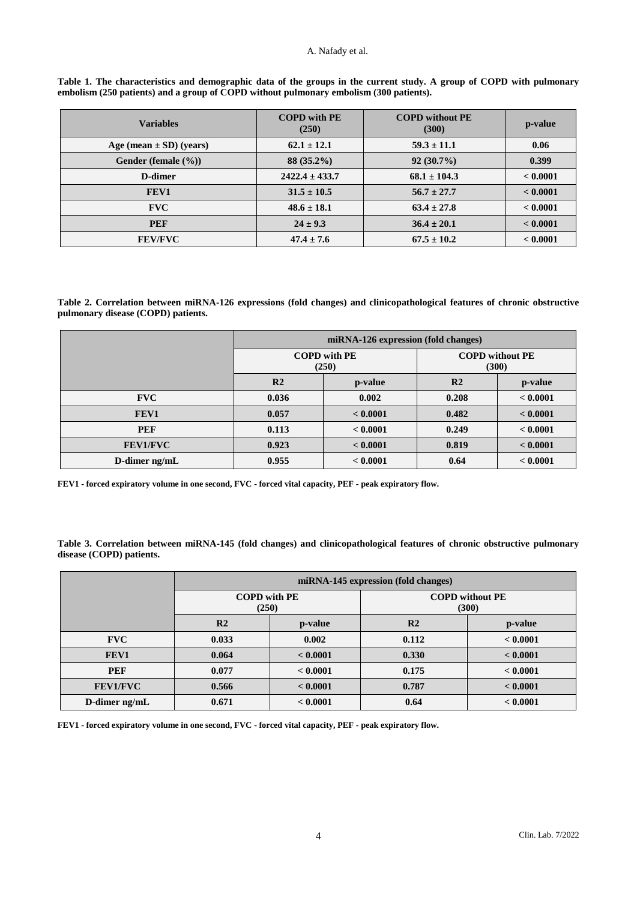#### A. Nafady et al.

| Table 1. The characteristics and demographic data of the groups in the current study. A group of COPD with pulmonary |  |  |  |  |
|----------------------------------------------------------------------------------------------------------------------|--|--|--|--|
| embolism (250 patients) and a group of COPD without pulmonary embolism (300 patients).                               |  |  |  |  |

| <b>Variables</b>                 | <b>COPD</b> with PE<br>(250) | <b>COPD</b> without PE<br>(300) | p-value  |
|----------------------------------|------------------------------|---------------------------------|----------|
| Age (mean $\pm$ SD) (years)      | $62.1 \pm 12.1$              | $59.3 \pm 11.1$                 | 0.06     |
| Gender (female $(\frac{9}{6})$ ) | 88 (35.2%)                   | $92(30.7\%)$                    | 0.399    |
| D-dimer                          | $2422.4 \pm 433.7$           | $68.1 \pm 104.3$                | < 0.0001 |
| FEV1                             | $31.5 \pm 10.5$              | $56.7 \pm 27.7$                 | < 0.0001 |
| <b>FVC</b>                       | $48.6 \pm 18.1$              | $63.4 \pm 27.8$                 | < 0.0001 |
| <b>PEF</b>                       | $24 \pm 9.3$                 | $36.4 \pm 20.1$                 | < 0.0001 |
| <b>FEV/FVC</b>                   | $47.4 \pm 7.6$               | $67.5 \pm 10.2$                 | < 0.0001 |

**Table 2. Correlation between miRNA-126 expressions (fold changes) and clinicopathological features of chronic obstructive pulmonary disease (COPD) patients.**

|                 | miRNA-126 expression (fold changes) |                              |                                 |          |  |  |
|-----------------|-------------------------------------|------------------------------|---------------------------------|----------|--|--|
|                 |                                     | <b>COPD</b> with PE<br>(250) | <b>COPD</b> without PE<br>(300) |          |  |  |
|                 | R <sub>2</sub>                      | p-value                      | R <sub>2</sub>                  | p-value  |  |  |
| <b>FVC</b>      | 0.036                               | 0.002                        | 0.208                           | < 0.0001 |  |  |
| FEV1            | 0.057                               | < 0.0001                     | 0.482                           | < 0.0001 |  |  |
| <b>PEF</b>      | 0.113                               | < 0.0001                     | 0.249                           | < 0.0001 |  |  |
| <b>FEV1/FVC</b> | 0.923                               | < 0.0001                     | 0.819                           | < 0.0001 |  |  |
| D-dimer $ng/mL$ | 0.955                               | < 0.0001                     | 0.64                            | < 0.0001 |  |  |

**FEV1 - forced expiratory volume in one second, FVC - forced vital capacity, PEF - peak expiratory flow.**

**Table 3. Correlation between miRNA-145 (fold changes) and clinicopathological features of chronic obstructive pulmonary disease (COPD) patients.**

|                 | miRNA-145 expression (fold changes) |          |                                 |          |  |
|-----------------|-------------------------------------|----------|---------------------------------|----------|--|
|                 | <b>COPD</b> with PE<br>(250)        |          | <b>COPD</b> without PE<br>(300) |          |  |
|                 | R <sub>2</sub>                      | p-value  | R <sub>2</sub>                  | p-value  |  |
| <b>FVC</b>      | 0.033                               | 0.002    | 0.112                           | < 0.0001 |  |
| FEV1            | 0.064                               | < 0.0001 | 0.330                           | < 0.0001 |  |
| <b>PEF</b>      | 0.077                               | < 0.0001 | 0.175                           | < 0.0001 |  |
| <b>FEV1/FVC</b> | 0.566                               | < 0.0001 | 0.787                           | < 0.0001 |  |
| D-dimer $ng/mL$ | 0.671                               | < 0.0001 | 0.64                            | < 0.0001 |  |

**FEV1 - forced expiratory volume in one second, FVC - forced vital capacity, PEF - peak expiratory flow.**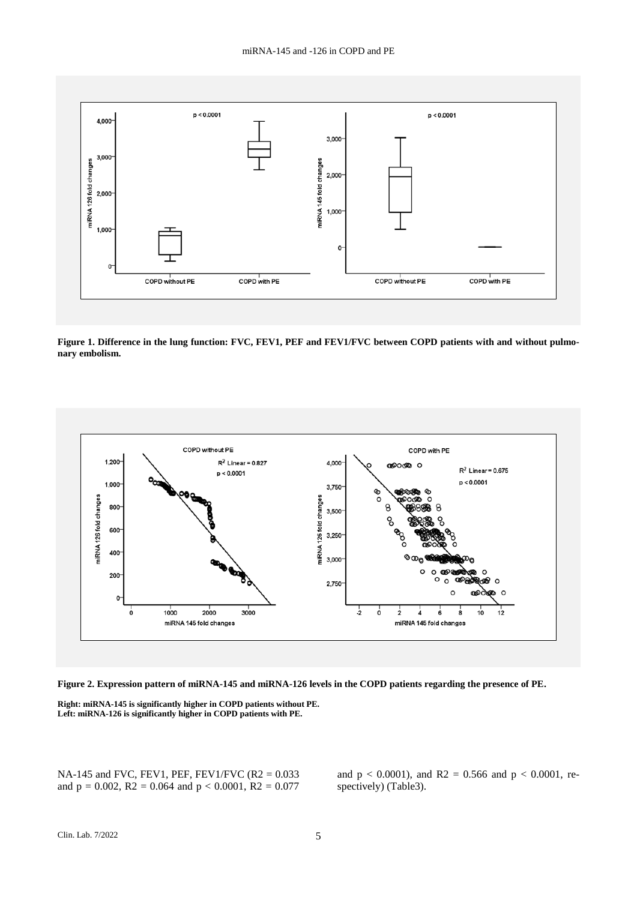

**Figure 1. Difference in the lung function: FVC, FEV1, PEF and FEV1/FVC between COPD patients with and without pulmonary embolism.**





**Right: miRNA-145 is significantly higher in COPD patients without PE. Left: miRNA-126 is significantly higher in COPD patients with PE.**

NA-145 and FVC, FEV1, PEF, FEV1/FVC (R2 = 0.033 and  $p = 0.002$ ,  $R2 = 0.064$  and  $p < 0.0001$ ,  $R2 = 0.077$ 

and  $p < 0.0001$ ), and R2 = 0.566 and  $p < 0.0001$ , respectively) (Table3).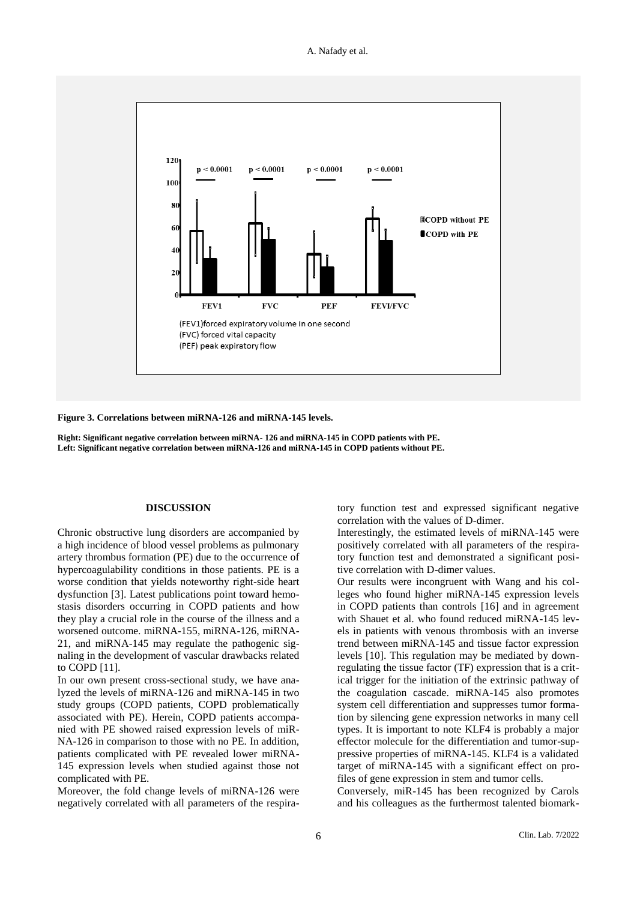



**Figure 3. Correlations between miRNA-126 and miRNA-145 levels.**

**Right: Significant negative correlation between miRNA- 126 and miRNA-145 in COPD patients with PE. Left: Significant negative correlation between miRNA-126 and miRNA-145 in COPD patients without PE.**

#### **DISCUSSION**

Chronic obstructive lung disorders are accompanied by a high incidence of blood vessel problems as pulmonary artery thrombus formation (PE) due to the occurrence of hypercoagulability conditions in those patients. PE is a worse condition that yields noteworthy right-side heart dysfunction [\[3\]](#page-6-1). Latest publications point toward hemostasis disorders occurring in COPD patients and how they play a crucial role in the course of the illness and a worsened outcome. miRNA-155, miRNA-126, miRNA-21, and miRNA-145 may regulate the pathogenic signaling in the development of vascular drawbacks related to COPD [\[11\]](#page-6-9).

In our own present cross-sectional study, we have analyzed the levels of miRNA-126 and miRNA-145 in two study groups (COPD patients, COPD problematically associated with PE). Herein, COPD patients accompanied with PE showed raised expression levels of miR-NA-126 in comparison to those with no PE. In addition, patients complicated with PE revealed lower miRNA-145 expression levels when studied against those not complicated with PE.

Moreover, the fold change levels of miRNA-126 were negatively correlated with all parameters of the respiratory function test and expressed significant negative correlation with the values of D-dimer.

Interestingly, the estimated levels of miRNA-145 were positively correlated with all parameters of the respiratory function test and demonstrated a significant positive correlation with D-dimer values.

Our results were incongruent with Wang and his colleges who found higher miRNA-145 expression levels in COPD patients than controls [\[16\]](#page-7-2) and in agreement with Shauet et al. who found reduced miRNA-145 levels in patients with venous thrombosis with an inverse trend between miRNA-145 and tissue factor expression levels [\[10\]](#page-6-8). This regulation may be mediated by downregulating the tissue factor (TF) expression that is a critical trigger for the initiation of the extrinsic pathway of the coagulation cascade. miRNA-145 also promotes system cell differentiation and suppresses tumor formation by silencing gene expression networks in many cell types. It is important to note KLF4 is probably a major effector molecule for the differentiation and tumor-suppressive properties of miRNA-145. KLF4 is a validated target of miRNA-145 with a significant effect on profiles of gene expression in stem and tumor cells.

Conversely, miR-145 has been recognized by Carols and his colleagues as the furthermost talented biomark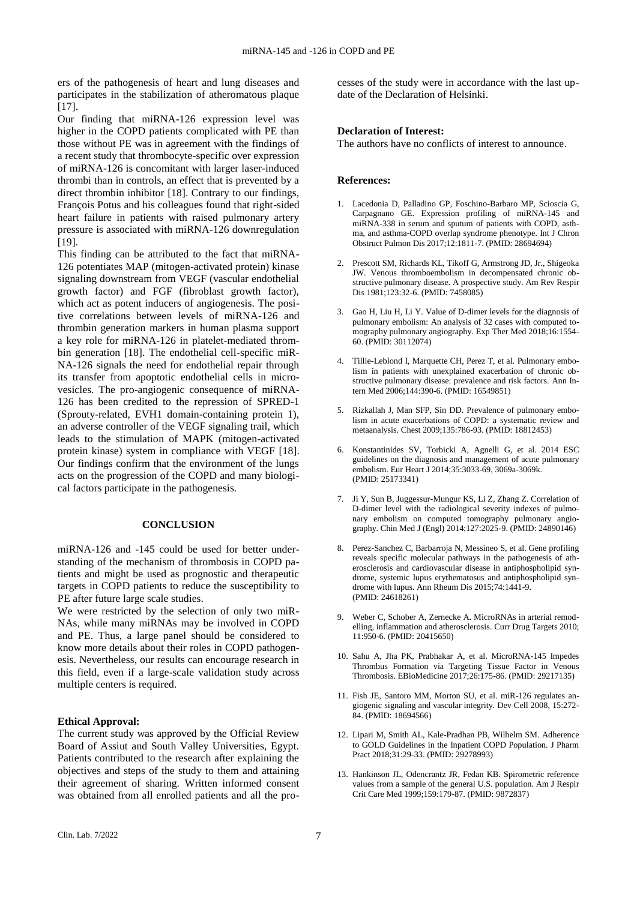ers of the pathogenesis of heart and lung diseases and participates in the stabilization of atheromatous plaque  $[17]$ .

Our finding that miRNA-126 expression level was higher in the COPD patients complicated with PE than those without PE was in agreement with the findings of a recent study that thrombocyte-specific over expression of miRNA-126 is concomitant with larger laser-induced thrombi than in controls, an effect that is prevented by a direct thrombin inhibitor [\[18\]](#page-7-4). Contrary to our findings, François Potus and his colleagues found that right-sided heart failure in patients with raised pulmonary artery pressure is associated with miRNA-126 downregulation [\[19\]](#page-7-5).

This finding can be attributed to the fact that miRNA-126 potentiates MAP (mitogen-activated protein) kinase signaling downstream from VEGF (vascular endothelial growth factor) and FGF (fibroblast growth factor), which act as potent inducers of angiogenesis. The positive correlations between levels of miRNA-126 and thrombin generation markers in human plasma support a key role for miRNA-126 in platelet-mediated thrombin generation [\[18\]](#page-7-4). The endothelial cell-specific miR-NA-126 signals the need for endothelial repair through its transfer from apoptotic endothelial cells in microvesicles. The pro-angiogenic consequence of miRNA-126 has been credited to the repression of SPRED-1 (Sprouty-related, EVH1 domain-containing protein 1), an adverse controller of the VEGF signaling trail, which leads to the stimulation of MAPK (mitogen-activated protein kinase) system in compliance with VEGF [\[18\]](#page-7-4). Our findings confirm that the environment of the lungs acts on the progression of the COPD and many biological factors participate in the pathogenesis.

## **CONCLUSION**

miRNA-126 and -145 could be used for better understanding of the mechanism of thrombosis in COPD patients and might be used as prognostic and therapeutic targets in COPD patients to reduce the susceptibility to PE after future large scale studies.

We were restricted by the selection of only two miR-NAs, while many miRNAs may be involved in COPD and PE. Thus, a large panel should be considered to know more details about their roles in COPD pathogenesis. Nevertheless, our results can encourage research in this field, even if a large-scale validation study across multiple centers is required.

## **Ethical Approval:**

The current study was approved by the Official Review Board of Assiut and South Valley Universities, Egypt. Patients contributed to the research after explaining the objectives and steps of the study to them and attaining their agreement of sharing. Written informed consent was obtained from all enrolled patients and all the processes of the study were in accordance with the last update of the Declaration of Helsinki.

#### **Declaration of Interest:**

The authors have no conflicts of interest to announce.

## **References:**

- 1. Lacedonia D, Palladino GP, Foschino-Barbaro MP, Scioscia G, Carpagnano GE. Expression profiling of miRNA-145 and miRNA-338 in serum and sputum of patients with COPD, asthma, and asthma-COPD overlap syndrome phenotype. Int J Chron Obstruct Pulmon Dis 2017;12:1811-7. (PMID: 28694694)
- <span id="page-6-0"></span>2. Prescott SM, Richards KL, Tikoff G, Armstrong JD, Jr., Shigeoka JW. Venous thromboembolism in decompensated chronic obstructive pulmonary disease. A prospective study. Am Rev Respir Dis 1981;123:32-6. (PMID: 7458085)
- <span id="page-6-1"></span>3. Gao H, Liu H, Li Y. Value of D-dimer levels for the diagnosis of pulmonary embolism: An analysis of 32 cases with computed tomography pulmonary angiography. Exp Ther Med 2018;16:1554- 60. (PMID: 30112074)
- <span id="page-6-2"></span>4. Tillie-Leblond I, Marquette CH, Perez T, et al. Pulmonary embolism in patients with unexplained exacerbation of chronic obstructive pulmonary disease: prevalence and risk factors. Ann Intern Med 2006;144:390-6. (PMID: 16549851)
- <span id="page-6-3"></span>5. Rizkallah J, Man SFP, Sin DD. Prevalence of pulmonary embolism in acute exacerbations of COPD: a systematic review and metaanalysis. Chest 2009;135:786-93. (PMID: 18812453)
- <span id="page-6-4"></span>6. Konstantinides SV, Torbicki A, Agnelli G, et al. 2014 ESC guidelines on the diagnosis and management of acute pulmonary embolism. Eur Heart J 2014;35:3033-69, 3069a-3069k. (PMID: 25173341)
- <span id="page-6-5"></span>7. Ji Y, Sun B, Juggessur-Mungur KS, Li Z, Zhang Z. Correlation of D-dimer level with the radiological severity indexes of pulmonary embolism on computed tomography pulmonary angiography. Chin Med J (Engl) 2014;127:2025-9. (PMID: 24890146)
- <span id="page-6-6"></span>8. Perez-Sanchez C, Barbarroja N, Messineo S, et al. Gene profiling reveals specific molecular pathways in the pathogenesis of atherosclerosis and cardiovascular disease in antiphospholipid syndrome, systemic lupus erythematosus and antiphospholipid syndrome with lupus. Ann Rheum Dis 2015;74:1441-9. (PMID: 24618261)
- <span id="page-6-7"></span>9. Weber C, Schober A, Zernecke A. MicroRNAs in arterial remodelling, inflammation and atherosclerosis. Curr Drug Targets 2010; 11:950-6. (PMID: 20415650)
- <span id="page-6-8"></span>10. Sahu A, Jha PK, Prabhakar A, et al. MicroRNA-145 Impedes Thrombus Formation via Targeting Tissue Factor in Venous Thrombosis. EBioMedicine 2017;26:175-86. (PMID: 29217135)
- <span id="page-6-9"></span>11. Fish JE, Santoro MM, Morton SU, et al. miR-126 regulates angiogenic signaling and vascular integrity. Dev Cell 2008, 15:272- 84. (PMID: 18694566)
- <span id="page-6-10"></span>12. Lipari M, Smith AL, Kale-Pradhan PB, Wilhelm SM. Adherence to GOLD Guidelines in the Inpatient COPD Population. J Pharm Pract 2018;31:29-33. (PMID: 29278993)
- <span id="page-6-11"></span>13. Hankinson JL, Odencrantz JR, Fedan KB. Spirometric reference values from a sample of the general U.S. population. Am J Respir Crit Care Med 1999;159:179-87. (PMID: 9872837)